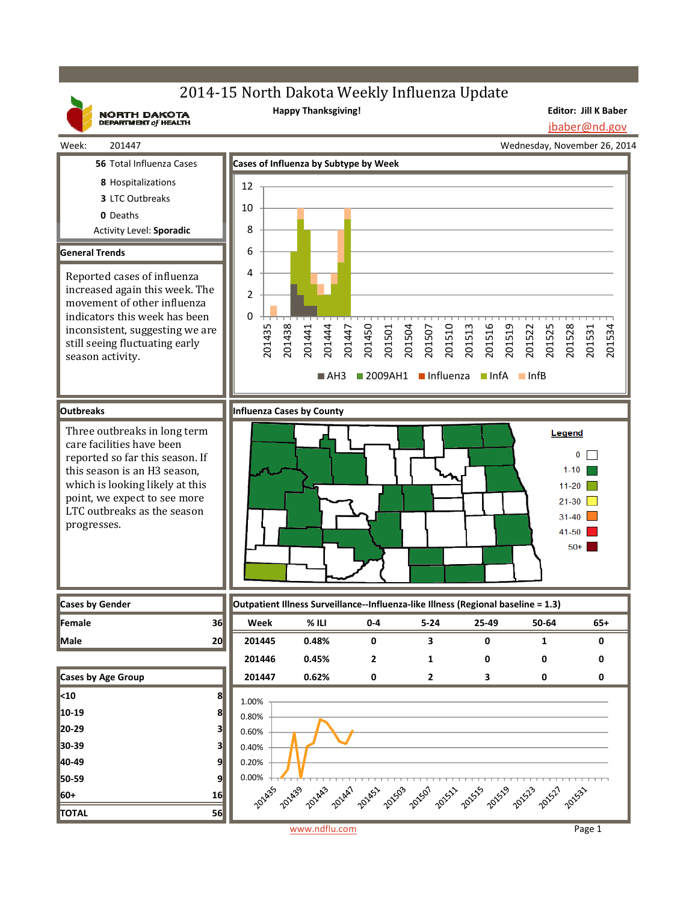